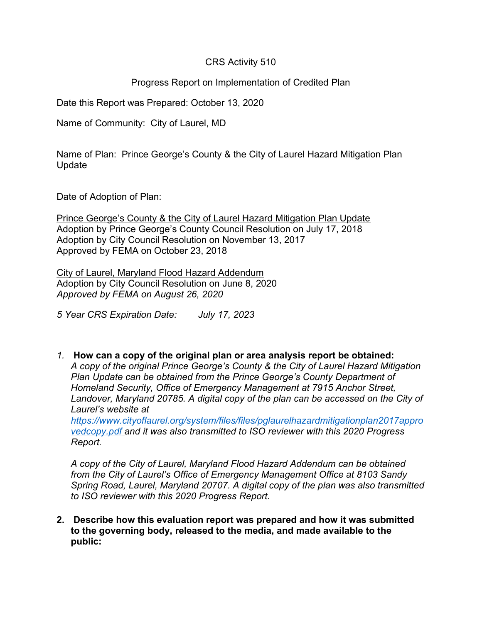# CRS Activity 510

# Progress Report on Implementation of Credited Plan

Date this Report was Prepared: October 13, 2020

Name of Community: City of Laurel, MD

Name of Plan: Prince George's County & the City of Laurel Hazard Mitigation Plan Update

Date of Adoption of Plan:

Prince George's County & the City of Laurel Hazard Mitigation Plan Update Adoption by Prince George's County Council Resolution on July 17, 2018 Adoption by City Council Resolution on November 13, 2017 Approved by FEMA on October 23, 2018

City of Laurel, Maryland Flood Hazard Addendum Adoption by City Council Resolution on June 8, 2020 Approved by FEMA on August 26, 2020

5 Year CRS Expiration Date: July 17, 2023

1. How can a copy of the original plan or area analysis report be obtained: A copy of the original Prince George's County & the City of Laurel Hazard Mitigation Plan Update can be obtained from the Prince George's County Department of Homeland Security, Office of Emergency Management at 7915 Anchor Street, Landover, Maryland 20785. A digital copy of the plan can be accessed on the City of Laurel's website at https://www.cityoflaurel.org/system/files/files/pglaurelhazardmitigationplan2017appro vedcopy.pdf and it was also transmitted to ISO reviewer with this 2020 Progress

Report. A copy of the City of Laurel, Maryland Flood Hazard Addendum can be obtained

from the City of Laurel's Office of Emergency Management Office at 8103 Sandy Spring Road, Laurel, Maryland 20707. A digital copy of the plan was also transmitted to ISO reviewer with this 2020 Progress Report.

2. Describe how this evaluation report was prepared and how it was submitted to the governing body, released to the media, and made available to the public: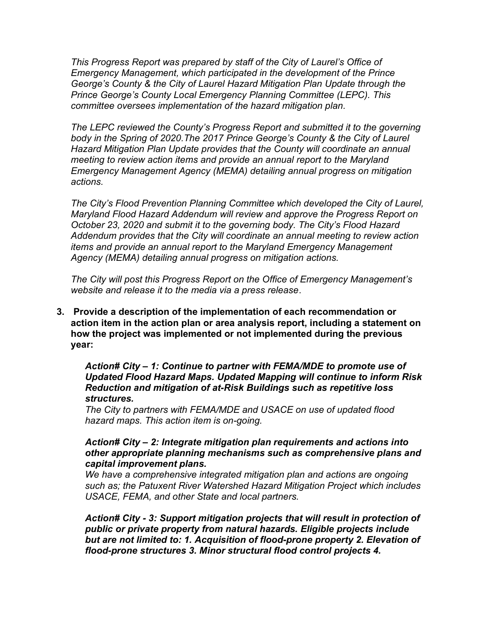This Progress Report was prepared by staff of the City of Laurel's Office of Emergency Management, which participated in the development of the Prince George's County & the City of Laurel Hazard Mitigation Plan Update through the Prince George's County Local Emergency Planning Committee (LEPC). This committee oversees implementation of the hazard mitigation plan.

The LEPC reviewed the County's Progress Report and submitted it to the governing body in the Spring of 2020.The 2017 Prince George's County & the City of Laurel Hazard Mitigation Plan Update provides that the County will coordinate an annual meeting to review action items and provide an annual report to the Maryland Emergency Management Agency (MEMA) detailing annual progress on mitigation actions.

The City's Flood Prevention Planning Committee which developed the City of Laurel, Maryland Flood Hazard Addendum will review and approve the Progress Report on October 23, 2020 and submit it to the governing body. The City's Flood Hazard Addendum provides that the City will coordinate an annual meeting to review action items and provide an annual report to the Maryland Emergency Management Agency (MEMA) detailing annual progress on mitigation actions.

The City will post this Progress Report on the Office of Emergency Management's website and release it to the media via a press release.

3. Provide a description of the implementation of each recommendation or action item in the action plan or area analysis report, including a statement on how the project was implemented or not implemented during the previous year:

Action# City – 1: Continue to partner with FEMA/MDE to promote use of Updated Flood Hazard Maps. Updated Mapping will continue to inform Risk Reduction and mitigation of at-Risk Buildings such as repetitive loss structures.

The City to partners with FEMA/MDE and USACE on use of updated flood hazard maps. This action item is on-going.

### Action# City – 2: Integrate mitigation plan requirements and actions into other appropriate planning mechanisms such as comprehensive plans and capital improvement plans.

We have a comprehensive integrated mitigation plan and actions are ongoing such as; the Patuxent River Watershed Hazard Mitigation Project which includes USACE, FEMA, and other State and local partners.

Action# City - 3: Support mitigation projects that will result in protection of public or private property from natural hazards. Eligible projects include but are not limited to: 1. Acquisition of flood-prone property 2. Elevation of flood-prone structures 3. Minor structural flood control projects 4.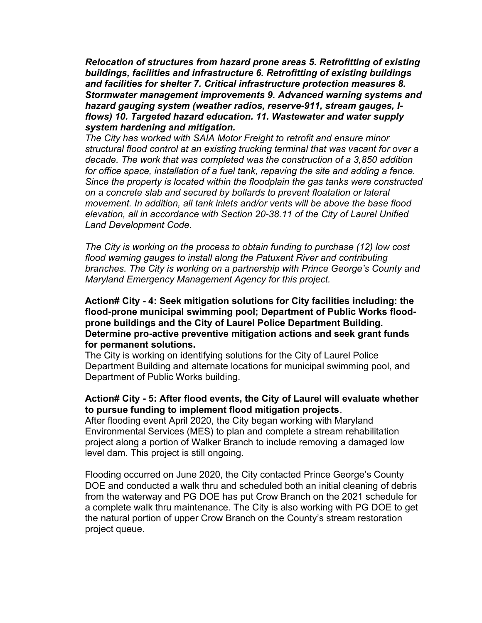Relocation of structures from hazard prone areas 5. Retrofitting of existing buildings, facilities and infrastructure 6. Retrofitting of existing buildings and facilities for shelter 7. Critical infrastructure protection measures 8. Stormwater management improvements 9. Advanced warning systems and hazard gauging system (weather radios, reserve-911, stream gauges, Iflows) 10. Targeted hazard education. 11. Wastewater and water supply system hardening and mitigation.

The City has worked with SAIA Motor Freight to retrofit and ensure minor structural flood control at an existing trucking terminal that was vacant for over a decade. The work that was completed was the construction of a 3,850 addition for office space, installation of a fuel tank, repaving the site and adding a fence. Since the property is located within the floodplain the gas tanks were constructed on a concrete slab and secured by bollards to prevent floatation or lateral movement. In addition, all tank inlets and/or vents will be above the base flood elevation, all in accordance with Section 20-38.11 of the City of Laurel Unified Land Development Code.

The City is working on the process to obtain funding to purchase (12) low cost flood warning gauges to install along the Patuxent River and contributing branches. The City is working on a partnership with Prince George's County and Maryland Emergency Management Agency for this project.

## Action# City - 4: Seek mitigation solutions for City facilities including: the flood-prone municipal swimming pool; Department of Public Works floodprone buildings and the City of Laurel Police Department Building. Determine pro-active preventive mitigation actions and seek grant funds for permanent solutions.

The City is working on identifying solutions for the City of Laurel Police Department Building and alternate locations for municipal swimming pool, and Department of Public Works building.

## Action# City - 5: After flood events, the City of Laurel will evaluate whether to pursue funding to implement flood mitigation projects.

After flooding event April 2020, the City began working with Maryland Environmental Services (MES) to plan and complete a stream rehabilitation project along a portion of Walker Branch to include removing a damaged low level dam. This project is still ongoing.

Flooding occurred on June 2020, the City contacted Prince George's County DOE and conducted a walk thru and scheduled both an initial cleaning of debris from the waterway and PG DOE has put Crow Branch on the 2021 schedule for a complete walk thru maintenance. The City is also working with PG DOE to get the natural portion of upper Crow Branch on the County's stream restoration project queue.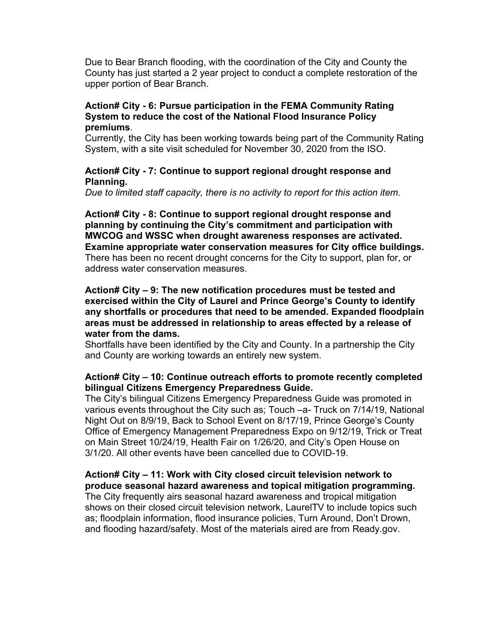Due to Bear Branch flooding, with the coordination of the City and County the County has just started a 2 year project to conduct a complete restoration of the upper portion of Bear Branch.

### Action# City - 6: Pursue participation in the FEMA Community Rating System to reduce the cost of the National Flood Insurance Policy premiums.

Currently, the City has been working towards being part of the Community Rating System, with a site visit scheduled for November 30, 2020 from the ISO.

## Action# City - 7: Continue to support regional drought response and Planning.

Due to limited staff capacity, there is no activity to report for this action item.

Action# City - 8: Continue to support regional drought response and planning by continuing the City's commitment and participation with MWCOG and WSSC when drought awareness responses are activated. Examine appropriate water conservation measures for City office buildings. There has been no recent drought concerns for the City to support, plan for, or address water conservation measures.

## Action# City – 9: The new notification procedures must be tested and exercised within the City of Laurel and Prince George's County to identify any shortfalls or procedures that need to be amended. Expanded floodplain areas must be addressed in relationship to areas effected by a release of water from the dams.

Shortfalls have been identified by the City and County. In a partnership the City and County are working towards an entirely new system.

### Action# City – 10: Continue outreach efforts to promote recently completed bilingual Citizens Emergency Preparedness Guide.

The City's bilingual Citizens Emergency Preparedness Guide was promoted in various events throughout the City such as; Touch –a- Truck on 7/14/19, National Night Out on 8/9/19, Back to School Event on 8/17/19, Prince George's County Office of Emergency Management Preparedness Expo on 9/12/19, Trick or Treat on Main Street 10/24/19, Health Fair on 1/26/20, and City's Open House on 3/1/20. All other events have been cancelled due to COVID-19.

# Action# City – 11: Work with City closed circuit television network to produce seasonal hazard awareness and topical mitigation programming.

The City frequently airs seasonal hazard awareness and tropical mitigation shows on their closed circuit television network, LaurelTV to include topics such as; floodplain information, flood insurance policies, Turn Around, Don't Drown, and flooding hazard/safety. Most of the materials aired are from Ready.gov.